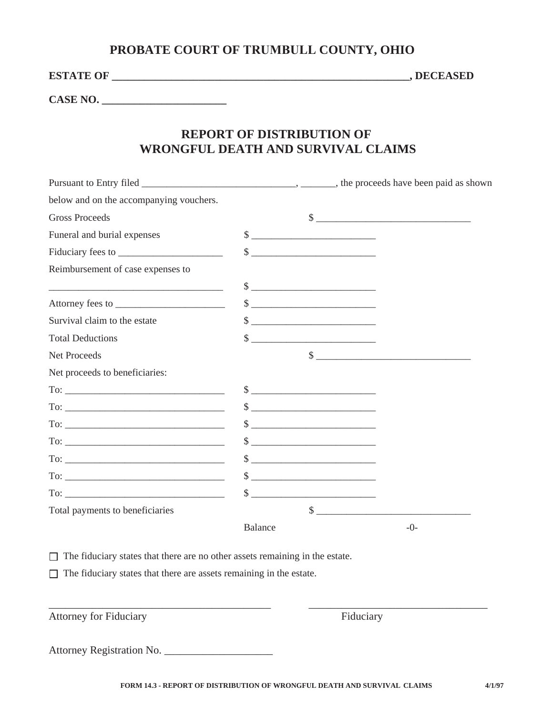## **PROBATE COURT OF TRUMBULL COUNTY, OHIO**

**ESTATE OF \_\_\_\_\_\_\_\_\_\_\_\_\_\_\_\_\_\_\_\_\_\_\_\_\_\_\_\_\_\_\_\_\_\_\_\_\_\_\_\_\_\_\_\_\_\_\_\_\_\_\_\_\_\_\_, DECEASED**

**CASE NO. \_\_\_\_\_\_\_\_\_\_\_\_\_\_\_\_\_\_\_\_\_\_\_** 

## **REPORT OF DISTRIBUTION OF WRONGFUL DEATH AND SURVIVAL CLAIMS**

| below and on the accompanying vouchers.                                                                                                                                                                                                                                                                                                                                                                                                              |                |                                                                                                                                                                                                                                                                                                                                                                                                                                                                                                                                                                                                                            |       |
|------------------------------------------------------------------------------------------------------------------------------------------------------------------------------------------------------------------------------------------------------------------------------------------------------------------------------------------------------------------------------------------------------------------------------------------------------|----------------|----------------------------------------------------------------------------------------------------------------------------------------------------------------------------------------------------------------------------------------------------------------------------------------------------------------------------------------------------------------------------------------------------------------------------------------------------------------------------------------------------------------------------------------------------------------------------------------------------------------------------|-------|
| <b>Gross Proceeds</b>                                                                                                                                                                                                                                                                                                                                                                                                                                |                | $\frac{\text{S}}{\text{S}}$                                                                                                                                                                                                                                                                                                                                                                                                                                                                                                                                                                                                |       |
| Funeral and burial expenses                                                                                                                                                                                                                                                                                                                                                                                                                          |                | $\frac{\text{S}}{\text{S}}$                                                                                                                                                                                                                                                                                                                                                                                                                                                                                                                                                                                                |       |
|                                                                                                                                                                                                                                                                                                                                                                                                                                                      |                | $\begin{picture}(20,10) \put(0,0){\vector(1,0){100}} \put(15,0){\vector(1,0){100}} \put(15,0){\vector(1,0){100}} \put(15,0){\vector(1,0){100}} \put(15,0){\vector(1,0){100}} \put(15,0){\vector(1,0){100}} \put(15,0){\vector(1,0){100}} \put(15,0){\vector(1,0){100}} \put(15,0){\vector(1,0){100}} \put(15,0){\vector(1,0){100}} \put(15,0){\vector(1,0){100}} \$                                                                                                                                                                                                                                                        |       |
| Reimbursement of case expenses to                                                                                                                                                                                                                                                                                                                                                                                                                    |                |                                                                                                                                                                                                                                                                                                                                                                                                                                                                                                                                                                                                                            |       |
| <u> 2000 - Jan James James Barbara, martin da kasar Amerikaan (h. 2001).</u>                                                                                                                                                                                                                                                                                                                                                                         |                | $\frac{\text{S}}{\text{S}}$                                                                                                                                                                                                                                                                                                                                                                                                                                                                                                                                                                                                |       |
|                                                                                                                                                                                                                                                                                                                                                                                                                                                      |                | $\qquad \qquad \  \  \, {\bf S} \underline{\hspace{1cm}} \underline{\hspace{1cm}} \underline{\hspace{1cm}} \underline{\hspace{1cm}} \underline{\hspace{1cm}} \underline{\hspace{1cm}} \underline{\hspace{1cm}} \underline{\hspace{1cm}} \underline{\hspace{1cm}} \underline{\hspace{1cm}} \underline{\hspace{1cm}} \underline{\hspace{1cm}} \underline{\hspace{1cm}} \underline{\hspace{1cm}} \underline{\hspace{1cm}} \underline{\hspace{1cm}} \underline{\hspace{1cm}} \underline{\hspace{1cm}} \underline{\hspace{1cm}} \underline{\hspace{1cm}} \underline{\hspace{1cm}} \underline{\hspace{1cm}} \underline{\hspace{$ |       |
| Survival claim to the estate                                                                                                                                                                                                                                                                                                                                                                                                                         |                |                                                                                                                                                                                                                                                                                                                                                                                                                                                                                                                                                                                                                            |       |
| <b>Total Deductions</b>                                                                                                                                                                                                                                                                                                                                                                                                                              |                | $\frac{1}{2}$                                                                                                                                                                                                                                                                                                                                                                                                                                                                                                                                                                                                              |       |
| Net Proceeds                                                                                                                                                                                                                                                                                                                                                                                                                                         |                | $\frac{1}{2}$                                                                                                                                                                                                                                                                                                                                                                                                                                                                                                                                                                                                              |       |
| Net proceeds to beneficiaries:                                                                                                                                                                                                                                                                                                                                                                                                                       |                |                                                                                                                                                                                                                                                                                                                                                                                                                                                                                                                                                                                                                            |       |
| $To: \begin{tabular}{ c c c c } \hline \multicolumn{3}{ c }{\textbf{To:}} & \multicolumn{3}{ c }{\textbf{To:}} \\ \hline \multicolumn{3}{ c }{\textbf{To:}} & \multicolumn{3}{ c }{\textbf{To:}} \\ \hline \multicolumn{3}{ c }{\textbf{To:}} & \multicolumn{3}{ c }{\textbf{To:}} \\ \hline \multicolumn{3}{ c }{\textbf{To:}} & \multicolumn{3}{ c }{\textbf{To:}} \\ \hline \multicolumn{3}{ c }{\textbf{To:}} & \multicolumn{3}{ c }{\textbf{To$ |                | $\sim$                                                                                                                                                                                                                                                                                                                                                                                                                                                                                                                                                                                                                     |       |
|                                                                                                                                                                                                                                                                                                                                                                                                                                                      |                | $\qquad \qquad \text{\normalsize $s$} \qquad \qquad \text{\normalsize $\dots$} \qquad \qquad \text{\normalsize $\dots$} \qquad \qquad \text{\normalsize $\dots$} \qquad \qquad \text{\normalsize $\dots$} \qquad \qquad \text{\normalsize $\dots$} \qquad \qquad \text{\normalsize $\dots$} \qquad \qquad \text{\normalsize $\dots$} \qquad \qquad \text{\normalsize $\dots$} \qquad \qquad \text{\normalsize $\dots$} \qquad \qquad \text{\normalsize $\dots$} \qquad \qquad \text{\normalsize $\dots$} \qquad \qquad \text{\normalsize $\dots$} \qquad \qquad \text{\normalsize$                                         |       |
| $To: \begin{tabular}{ c c c c } \hline \multicolumn{3}{ c }{\textbf{To:}} & \multicolumn{3}{ c }{\textbf{To:}} \\ \hline \multicolumn{3}{ c }{\textbf{To:}} & \multicolumn{3}{ c }{\textbf{To:}} \\ \hline \multicolumn{3}{ c }{\textbf{To:}} & \multicolumn{3}{ c }{\textbf{To:}} \\ \hline \multicolumn{3}{ c }{\textbf{To:}} & \multicolumn{3}{ c }{\textbf{To:}} \\ \hline \multicolumn{3}{ c }{\textbf{To:}} & \multicolumn{3}{ c }{\textbf{To$ |                | $\frac{1}{2}$                                                                                                                                                                                                                                                                                                                                                                                                                                                                                                                                                                                                              |       |
| $To: \begin{tabular}{ c c c c } \hline \multicolumn{3}{ c }{\textbf{To:}} & \multicolumn{3}{ c }{\textbf{To:}} \\ \hline \multicolumn{3}{ c }{\textbf{To:}} & \multicolumn{3}{ c }{\textbf{To:}} \\ \hline \multicolumn{3}{ c }{\textbf{To:}} & \multicolumn{3}{ c }{\textbf{To:}} \\ \hline \multicolumn{3}{ c }{\textbf{To:}} & \multicolumn{3}{ c }{\textbf{To:}} \\ \hline \multicolumn{3}{ c }{\textbf{To:}} & \multicolumn{3}{ c }{\textbf{To$ |                |                                                                                                                                                                                                                                                                                                                                                                                                                                                                                                                                                                                                                            |       |
| $\text{To:}\_$                                                                                                                                                                                                                                                                                                                                                                                                                                       |                | $\sim$                                                                                                                                                                                                                                                                                                                                                                                                                                                                                                                                                                                                                     |       |
| $To: \_$                                                                                                                                                                                                                                                                                                                                                                                                                                             |                | $\sim$                                                                                                                                                                                                                                                                                                                                                                                                                                                                                                                                                                                                                     |       |
| $To: \_$                                                                                                                                                                                                                                                                                                                                                                                                                                             |                |                                                                                                                                                                                                                                                                                                                                                                                                                                                                                                                                                                                                                            |       |
| Total payments to beneficiaries                                                                                                                                                                                                                                                                                                                                                                                                                      |                |                                                                                                                                                                                                                                                                                                                                                                                                                                                                                                                                                                                                                            |       |
|                                                                                                                                                                                                                                                                                                                                                                                                                                                      | <b>Balance</b> |                                                                                                                                                                                                                                                                                                                                                                                                                                                                                                                                                                                                                            | $-0-$ |

 $\Box$  The fiduciary states that there are no other assets remaining in the estate.

 $\Box$  The fiduciary states that there are assets remaining in the estate.

Attorney for Fiduciary

and the set of the set of the set of the set of the set of the set of the set of the set of the set of the set of the set of the set of the set of the set of the set of the set of the set of the set of the set of the set o

Attorney Registration No. \_\_\_\_\_\_\_\_\_\_\_\_\_\_\_\_\_\_\_\_